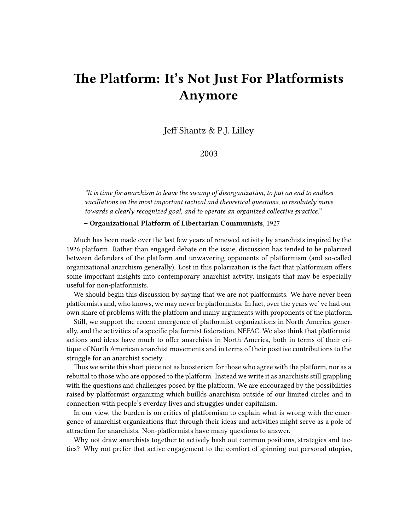## **The Platform: It's Not Just For Platformists Anymore**

Jeff Shantz & P.J. Lilley

2003

*"It is time for anarchism to leave the swamp of disorganization, to put an end to endless vacillations on the most important tactical and theoretical questions, to resolutely move towards a clearly recognized goal, and to operate an organized collective practice."*

## **– Organizational Platform of Libertarian Communists**, 1927

Much has been made over the last few years of renewed activity by anarchists inspired by the 1926 platform. Rather than engaged debate on the issue, discussion has tended to be polarized between defenders of the platform and unwavering opponents of platformism (and so-called organizational anarchism generally). Lost in this polarization is the fact that platformism offers some important insights into contemporary anarchist actvity, insights that may be especially useful for non-platformists.

We should begin this discussion by saying that we are not platformists. We have never been platformists and, who knows, we may never be platformists. In fact, over the years we' ve had our own share of problems with the platform and many arguments with proponents of the platform.

Still, we support the recent emergence of platformist organizations in North America generally, and the activities of a specific platformist federation, NEFAC. We also think that platformist actions and ideas have much to offer anarchists in North America, both in terms of their critique of North American anarchist movements and in terms of their positive contributions to the struggle for an anarchist society.

Thus we write this short piece not as boosterism for those who agree with the platform, nor as a rebuttal to those who are opposed to the platform. Instead we write it as anarchists still grappling with the questions and challenges posed by the platform. We are encouraged by the possibilities raised by platformist organizing which buillds anarchism outside of our limited circles and in connection with people's everday lives and struggles under capitalism.

In our view, the burden is on critics of platformism to explain what is wrong with the emergence of anarchist organizations that through their ideas and activities might serve as a pole of attraction for anarchists. Non-platformists have many questions to answer.

Why not draw anarchists together to actively hash out common positions, strategies and tactics? Why not prefer that active engagement to the comfort of spinning out personal utopias,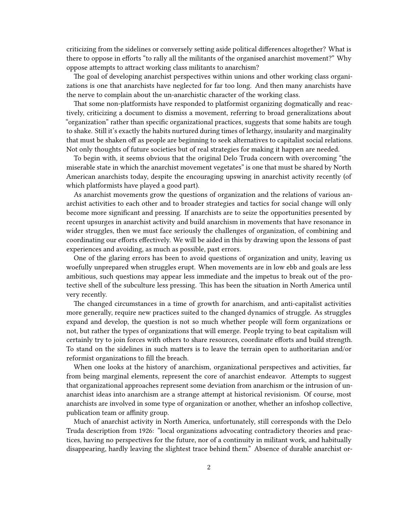criticizing from the sidelines or conversely setting aside political differences altogether? What is there to oppose in efforts "to rally all the militants of the organised anarchist movement?" Why oppose attempts to attract working class militants to anarchism?

The goal of developing anarchist perspectives within unions and other working class organizations is one that anarchists have neglected for far too long. And then many anarchists have the nerve to complain about the un-anarchistic character of the working class.

That some non-platformists have responded to platformist organizing dogmatically and reactively, criticizing a document to dismiss a movement, referring to broad generalizations about "organization" rather than specific organizational practices, suggests that some habits are tough to shake. Still it's exactly the habits nurtured during times of lethargy, insularity and marginality that must be shaken off as people are beginning to seek alternatives to capitalist social relations. Not only thoughts of future societies but of real strategies for making it happen are needed.

To begin with, it seems obvious that the original Delo Truda concern with overcoming "the miserable state in which the anarchist movement vegetates" is one that must be shared by North American anarchists today, despite the encouraging upswing in anarchist activity recently (of which platformists have played a good part).

As anarchist movements grow the questions of organization and the relations of various anarchist activities to each other and to broader strategies and tactics for social change will only become more significant and pressing. If anarchists are to seize the opportunities presented by recent upsurges in anarchist activity and build anarchism in movements that have resonance in wider struggles, then we must face seriously the challenges of organization, of combining and coordinating our efforts effectively. We will be aided in this by drawing upon the lessons of past experiences and avoiding, as much as possible, past errors.

One of the glaring errors has been to avoid questions of organization and unity, leaving us woefully unprepared when struggles erupt. When movements are in low ebb and goals are less ambitious, such questions may appear less immediate and the impetus to break out of the protective shell of the subculture less pressing. This has been the situation in North America until very recently.

The changed circumstances in a time of growth for anarchism, and anti-capitalist activities more generally, require new practices suited to the changed dynamics of struggle. As struggles expand and develop, the question is not so much whether people will form organizations or not, but rather the types of organizations that will emerge. People trying to beat capitalism will certainly try to join forces with others to share resources, coordinate efforts and build strength. To stand on the sidelines in such matters is to leave the terrain open to authoritarian and/or reformist organizations to fill the breach.

When one looks at the history of anarchism, organizational perspectives and activities, far from being marginal elements, represent the core of anarchist endeavor. Attempts to suggest that organizational approaches represent some deviation from anarchism or the intrusion of unanarchist ideas into anarchism are a strange attempt at historical revisionism. Of course, most anarchists are involved in some type of organization or another, whether an infoshop collective, publication team or affinity group.

Much of anarchist activity in North America, unfortunately, still corresponds with the Delo Truda description from 1926: "local organizations advocating contradictory theories and practices, having no perspectives for the future, nor of a continuity in militant work, and habitually disappearing, hardly leaving the slightest trace behind them." Absence of durable anarchist or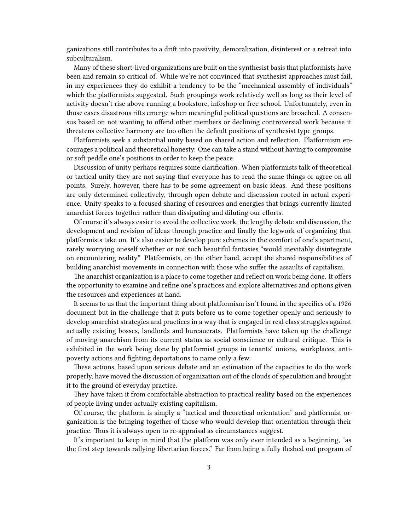ganizations still contributes to a drift into passivity, demoralization, disinterest or a retreat into subculturalism.

Many of these short-lived organizations are built on the synthesist basis that platformists have been and remain so critical of. While we're not convinced that synthesist approaches must fail, in my experiences they do exhibit a tendency to be the "mechanical assembly of individuals" which the platformists suggested. Such groupings work relatively well as long as their level of activity doesn't rise above running a bookstore, infoshop or free school. Unfortunately, even in those cases disastrous rifts emerge when meaningful political questions are broached. A consensus based on not wanting to offend other members or declining controversial work because it threatens collective harmony are too often the default positions of synthesist type groups.

Platformists seek a substantial unity based on shared action and reflection. Platformism encourages a political and theoretical honesty. One can take a stand without having to compromise or soft peddle one's positions in order to keep the peace.

Discussion of unity perhaps requires some clarification. When platformists talk of theoretical or tactical unity they are not saying that everyone has to read the same things or agree on all points. Surely, however, there has to be some agreement on basic ideas. And these positions are only determined collectively, through open debate and discussion rooted in actual experience. Unity speaks to a focused sharing of resources and energies that brings currently limited anarchist forces together rather than dissipating and diluting our efforts.

Of course it's always easier to avoid the collective work, the lengthy debate and discussion, the development and revision of ideas through practice and finally the legwork of organizing that platformists take on. It's also easier to develop pure schemes in the comfort of one's apartment, rarely worrying oneself whether or not such beautiful fantasies "would inevitably disintegrate on encountering reality." Platformists, on the other hand, accept the shared responsibilities of building anarchist movements in connection with those who suffer the assaults of capitalism.

The anarchist organization is a place to come together and reflect on work being done. It offers the opportunity to examine and refine one's practices and explore alternatives and options given the resources and experiences at hand.

It seems to us that the important thing about platformism isn't found in the specifics of a 1926 document but in the challenge that it puts before us to come together openly and seriously to develop anarchist strategies and practices in a way that is engaged in real class struggles against actually existing bosses, landlords and bureaucrats. Platformists have taken up the challenge of moving anarchism from its current status as social conscience or cultural critique. This is exhibited in the work being done by platformist groups in tenants' unions, workplaces, antipoverty actions and fighting deportations to name only a few.

These actions, based upon serious debate and an estimation of the capacities to do the work properly, have moved the discussion of organization out of the clouds of speculation and brought it to the ground of everyday practice.

They have taken it from comfortable abstraction to practical reality based on the experiences of people living under actually existing capitalism.

Of course, the platform is simply a "tactical and theoretical orientation" and platformist organization is the bringing together of those who would develop that orientation through their practice. Thus it is always open to re-appraisal as circumstances suggest.

It's important to keep in mind that the platform was only ever intended as a beginning, "as the first step towards rallying libertarian forces." Far from being a fully fleshed out program of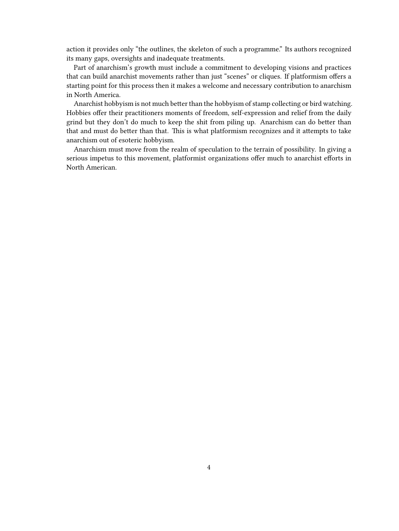action it provides only "the outlines, the skeleton of such a programme." Its authors recognized its many gaps, oversights and inadequate treatments.

Part of anarchism's growth must include a commitment to developing visions and practices that can build anarchist movements rather than just "scenes" or cliques. If platformism offers a starting point for this process then it makes a welcome and necessary contribution to anarchism in North America.

Anarchist hobbyism is not much better than the hobbyism of stamp collecting or bird watching. Hobbies offer their practitioners moments of freedom, self-expression and relief from the daily grind but they don't do much to keep the shit from piling up. Anarchism can do better than that and must do better than that. This is what platformism recognizes and it attempts to take anarchism out of esoteric hobbyism.

Anarchism must move from the realm of speculation to the terrain of possibility. In giving a serious impetus to this movement, platformist organizations offer much to anarchist efforts in North American.